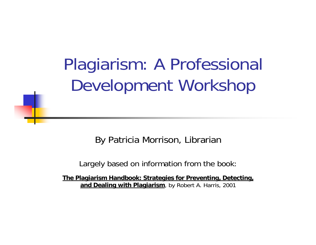## Plagiarism: A Professional Development Workshop

By Patricia Morrison, Librarian

Largely based on information from the book:

**The Plagiarism Handbook: Strategies for Preventing, Detecting, and Dealing with Plagiarism**, by Robert A. Harris, 2001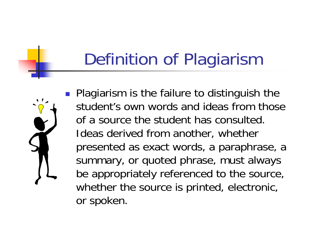## Definition of Plagiarism

**Plagiarism is the failure to distinguish the** student's own words and ideas from those of a source the student has consulted. Ideas derived from another, whether presented as exact words, a paraphrase, a summary, or quoted phrase, must always be appropriately referenced to the source, whether the source is printed, electronic, or spoken.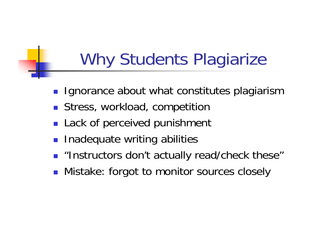## Why Students Plagiarize

- $\mathbb{R}^2$ Ignorance about what constitutes plagiarism
- **Stress, workload, competition**
- F Lack of perceived punishment
- **Inadequate writing abilities**
- $\blacksquare$  "Instructors don't actually read/check these"
- $\mathcal{L}_{\text{max}}$ Mistake: forgot to monitor sources closely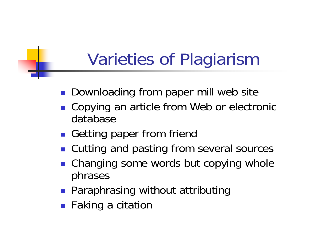## Varieties of Plagiarism

- **Downloading from paper mill web site**
- **Copying an article from Web or electronic** database
- **Getting paper from friend**
- Cutting and pasting from several sources
- **Changing some words but copying whole** phrases
- **Paraphrasing without attributing**
- **Faking a citation**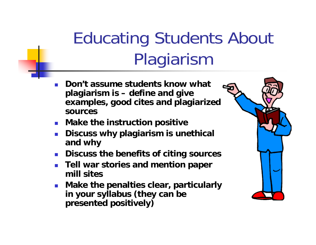## Educating Students About Plagiarism

- P. **Don't assume students know what plagiarism is – define and give examples, good cites and plagiarized sources**
- **Make the instruction positive**
- P. **Discuss why plagiarism is unethical and why**
- **Discuss the benefits of citing sources**
- $\mathcal{L}_{\mathcal{A}}$  **Tell war stories and mention paper mill sites**
- **Make the penalties clear, particularly in your syllabus (they can be presented positively)**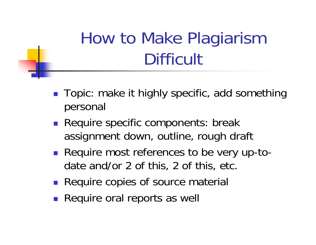## How to Make Plagiarism **Difficult**

- Topic: make it highly specific, add something personal
- **Require specific components: break** assignment down, outline, rough draft
- Require most references to be very up-todate and/or 2 of this, 2 of this, etc.
- **Require copies of source material**
- **Require oral reports as well**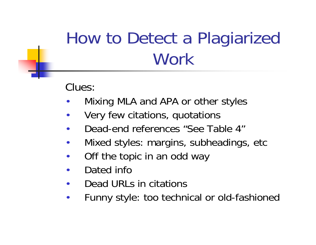## How to Detect a Plagiarized Work

Clues:

- •Mixing MLA and APA or other styles
- •Very few citations, quotations
- •Dead-end references "See Table 4"
- •Mixed styles: margins, subheadings, etc
- •Off the topic in an odd way
- •Dated info
- •Dead URLs in citations
- •Funny style: too technical or old-fashioned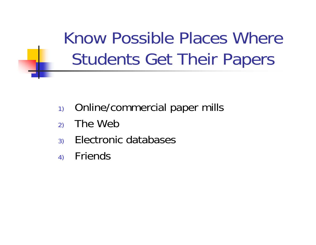Know Possible Places Where Students Get Their Papers

- 1) Online/commercial paper mills
- 2) The Web
- 3) Electronic databases
- 4) Friends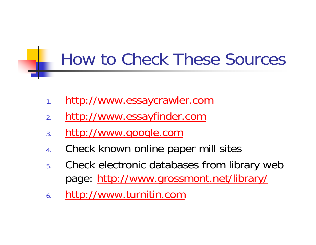## How to Check These Sources

- 1.[http://www.essaycrawler.com](http://www.essaycrawler.com/)
- 2.[http://www.essayfinder.com](http://www.essayfinder.com/)
- 3.[http://www.google.com](http://www.google.com/)
- 4.Check known online paper mill sites
- 5. Check electronic databases from library web page: <http://www.grossmont.net/library/>
- 6.[http://www.turnitin.com](http://www.turnitin.com/)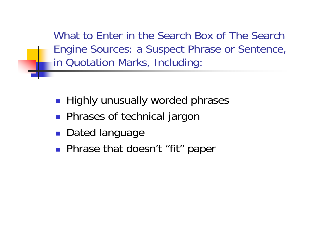What to Enter in the Search Box of The Search Engine Sources: a Suspect Phrase or Sentence, in Quotation Marks, Including:

- **Highly unusually worded phrases**
- **Phrases of technical jargon**
- **Dated language**
- **Phrase that doesn't "fit" paper**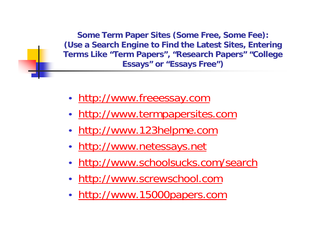**Some Term Paper Sites (Some Free, Some Fee): (Use a Search Engine to Find the Latest Sites, Entering Terms Like "Term Papers", "Research Papers" "College Essays" or "Essays Free")**

- •• [http://www.freeessay.com](http://www.freeessay.com/)
- •• [http://www.termpapersites.com](http://www.termpapersites.com/)
- •[http://www.123helpme.com](http://www.123helpme.com/)
- •[http://www.netessays.net](http://www.netessays.net/)
- •• <http://www.schoolsucks.com/search>
- •• [http://www.screwschool.com](http://www.screwschool.com/)
- •• [http://www.15000papers.com](http://www.15000papers.com/)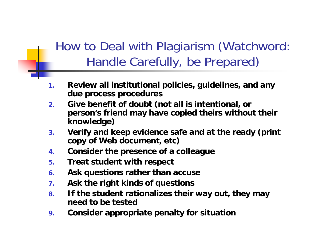## How to Deal with Plagiarism (Watchword: Handle Carefully, be Prepared)

- **1. Review all institutional policies, guidelines, and any due process procedures**
- **2. Give benefit of doubt (not all is intentional, or person's friend may have copied theirs without their knowledge)**
- **3. Verify and keep evidence safe and at the ready (print copy of Web document, etc)**
- **4.Consider the presence of a colleague**
- **5.Treat student with respect**
- **6.Ask questions rather than accuse**
- **7.Ask the right kinds of questions**
- **8. If the student rationalizes their way out, they may need to be tested**
- **9.Consider appropriate penalty for situation**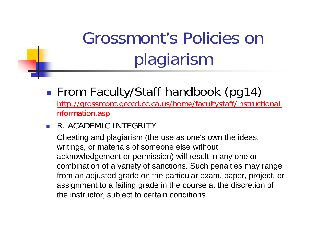# Grossmont's Policies on plagiarism

### $\mathbb{R}^3$ ■ From Faculty/Staff handbook (pg14)

[http://grossmont.gcccd.cc.ca.us/home/facultystaff/instructionali](http://grossmont.gcccd.cc.ca.us/home/facultystaff/instructionalinformation.asp) [nformation.asp](http://grossmont.gcccd.cc.ca.us/home/facultystaff/instructionalinformation.asp)

#### $\mathcal{L}_{\mathcal{A}}$ R. ACADEMIC INTEGRITY

Cheating and plagiarism (the use as one's own the ideas, writings, or materials of someone else without acknowledgement or permission) will result in any one or combination of a variety of sanctions. Such penalties may range from an adjusted grade on the particular exam, paper, project, or assignment to a failing grade in the course at the discretion of the instructor, subject to certain conditions.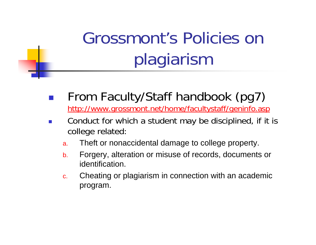# Grossmont's Policies on plagiarism

- $\mathbb{R}^3$  From Faculty/Staff handbook (pg7) <http://www.grossmont.net/home/facultystaff/geninfo.asp>
- P. Conduct for which a student may be disciplined, if it is college related:
	- a.Theft or nonaccidental damage to college property.
	- b. Forgery, alteration or misuse of records, documents or identification.
	- c. Cheating or plagiarism in connection with an academic program.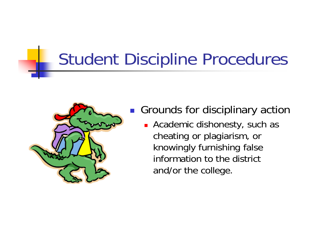## Student Discipline Procedures



- $\left\vert \cdot \right\vert$  Grounds for disciplinary action
	- **Exercice Academic dishonesty, such as** cheating or plagiarism, or knowingly furnishing false information to the district and/or the college.